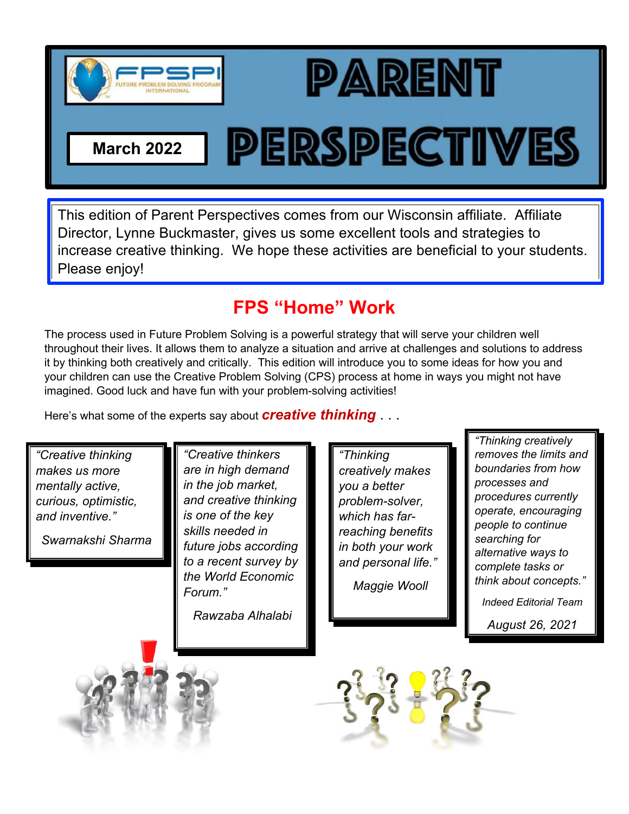



**PERSPECTIVES** 

**March 2022**

This edition of Parent Perspectives comes from our Wisconsin affiliate. Affiliate Director, Lynne Buckmaster, gives us some excellent tools and strategies to increase creative thinking. We hope these activities are beneficial to your students. Please enjoy!

## **FPS "Home" Work**

The process used in Future Problem Solving is a powerful strategy that will serve your children well throughout their lives. It allows them to analyze a situation and arrive at challenges and solutions to address it by thinking both creatively and critically. This edition will introduce you to some ideas for how you and your children can use the Creative Problem Solving (CPS) process at home in ways you might not have imagined. Good luck and have fun with your problem-solving activities!

Here's what some of the experts say about *creative thinking* . . .

*"Creative thinking makes us more mentally active, curious, optimistic, and inventive."*

*Swarnakshi Sharma*

*"Creative thinkers are in high demand in the job market, and creative thinking is one of the key skills needed in future jobs according to a recent survey by the World Economic Forum."* 

*Rawzaba Alhalabi*

*"Thinking creatively makes you a better problem-solver, which has farreaching benefits in both your work and personal life."*

*Maggie Wooll*

*"Thinking creatively removes the limits and boundaries from how processes and procedures currently operate, encouraging people to continue searching for alternative ways to complete tasks or think about concepts."*

*Indeed Editorial Team*

*August 26, 2021*



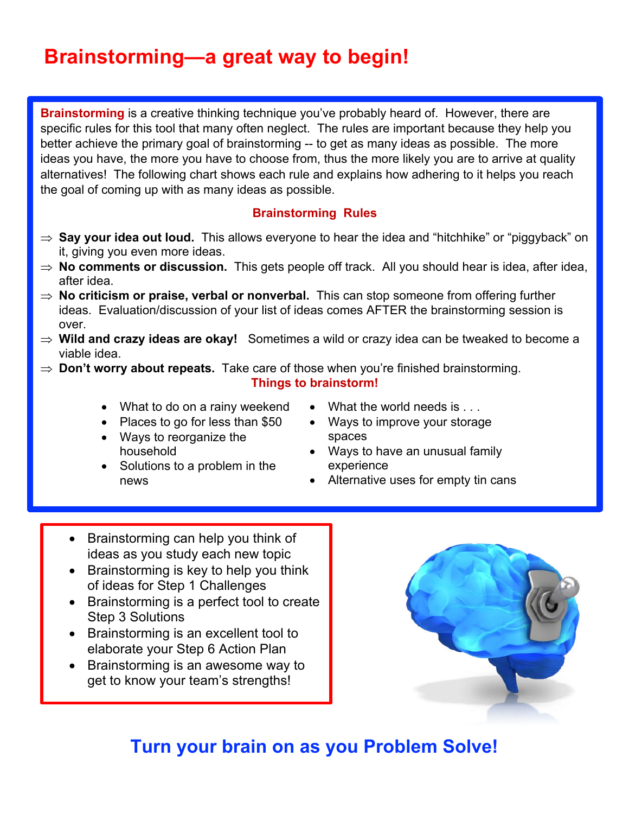# **Brainstorming—a great way to begin!**

**Brainstorming** is a creative thinking technique you've probably heard of. However, there are specific rules for this tool that many often neglect. The rules are important because they help you better achieve the primary goal of brainstorming -- to get as many ideas as possible. The more ideas you have, the more you have to choose from, thus the more likely you are to arrive at quality alternatives! The following chart shows each rule and explains how adhering to it helps you reach the goal of coming up with as many ideas as possible.

#### **Brainstorming Rules**

- ⇒ **Say your idea out loud.** This allows everyone to hear the idea and "hitchhike" or "piggyback" on it, giving you even more ideas.
- $\Rightarrow$  **No comments or discussion.** This gets people off track. All you should hear is idea, after idea, after idea.
- $\Rightarrow$  **No criticism or praise, verbal or nonverbal.** This can stop someone from offering further ideas. Evaluation/discussion of your list of ideas comes AFTER the brainstorming session is over.
- $\Rightarrow$  Wild and crazy ideas are okay! Sometimes a wild or crazy idea can be tweaked to become a viable idea.
- $\Rightarrow$  **Don't worry about repeats.** Take care of those when you're finished brainstorming.

**Things to brainstorm!**

- What to do on a rainy weekend
- Places to go for less than \$50
- Ways to reorganize the household
- Solutions to a problem in the news
- What the world needs is . . .
- Ways to improve your storage spaces
- Ways to have an unusual family experience
- Alternative uses for empty tin cans
- Brainstorming can help you think of ideas as you study each new topic
- Brainstorming is key to help you think of ideas for Step 1 Challenges
- Brainstorming is a perfect tool to create Step 3 Solutions
- Brainstorming is an excellent tool to elaborate your Step 6 Action Plan
- Brainstorming is an awesome way to get to know your team's strengths!



## **Turn your brain on as you Problem Solve!**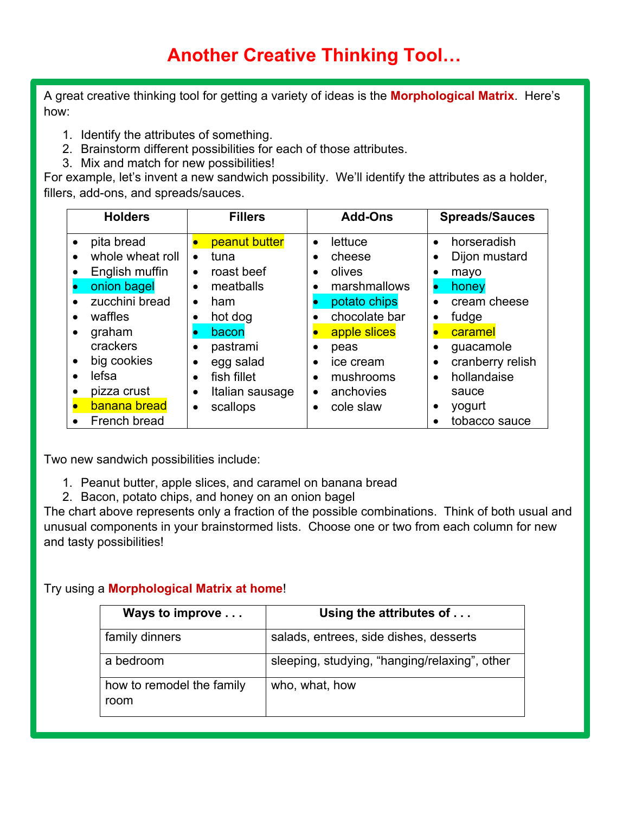A great creative thinking tool for getting a variety of ideas is the **Morphological Matrix**. Here's how:

- 1. Identify the attributes of something.
- 2. Brainstorm different possibilities for each of those attributes.
- 3. Mix and match for new possibilities!

For example, let's invent a new sandwich possibility. We'll identify the attributes as a holder, fillers, add-ons, and spreads/sauces.

| <b>Holders</b> |                  | <b>Fillers</b>               | <b>Add-Ons</b>       | <b>Spreads/Sauces</b>    |  |
|----------------|------------------|------------------------------|----------------------|--------------------------|--|
|                | pita bread       | peanut butter                | lettuce<br>$\bullet$ | horseradish<br>$\bullet$ |  |
|                | whole wheat roll | tuna<br>$\bullet$            | cheese               | Dijon mustard            |  |
|                | English muffin   | roast beef<br>$\bullet$      | olives               | mayo                     |  |
|                | onion bagel      | meatballs<br>٠               | marshmallows         | honey                    |  |
|                | zucchini bread   | ham<br>$\bullet$             | potato chips         | cream cheese             |  |
|                | waffles          | hot dog                      | chocolate bar        | fudge<br>$\bullet$       |  |
|                | graham           | bacon                        | apple slices         | caramel                  |  |
|                | crackers         | pastrami                     | peas                 | guacamole<br>$\bullet$   |  |
|                | big cookies      | egg salad                    | ice cream            | cranberry relish<br>٠    |  |
|                | lefsa            | fish fillet<br>$\bullet$     | mushrooms            | hollandaise<br>$\bullet$ |  |
|                | pizza crust      | Italian sausage<br>$\bullet$ | anchovies<br>٠       | sauce                    |  |
|                | banana bread     | scallops<br>$\bullet$        | cole slaw            | yogurt                   |  |
|                | French bread     |                              |                      | tobacco sauce            |  |

Two new sandwich possibilities include:

- 1. Peanut butter, apple slices, and caramel on banana bread
- 2. Bacon, potato chips, and honey on an onion bagel

The chart above represents only a fraction of the possible combinations. Think of both usual and unusual components in your brainstormed lists. Choose one or two from each column for new and tasty possibilities!

#### Try using a **Morphological Matrix at home**!

| Ways to improve                   | Using the attributes of                       |  |  |  |
|-----------------------------------|-----------------------------------------------|--|--|--|
| family dinners                    | salads, entrees, side dishes, desserts        |  |  |  |
| a bedroom                         | sleeping, studying, "hanging/relaxing", other |  |  |  |
| how to remodel the family<br>room | who, what, how                                |  |  |  |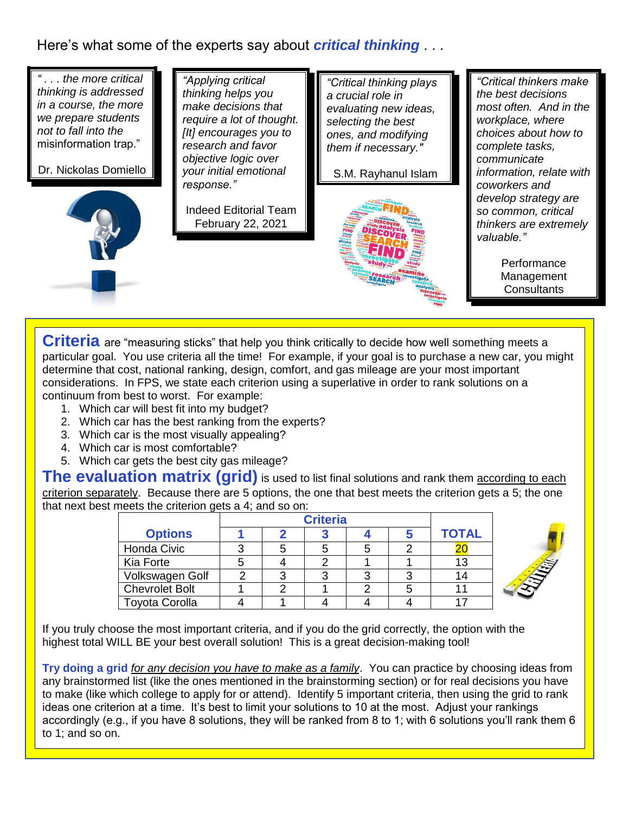### Here's what some of the experts say about *critical thinking* . . .



**Criteria** are "measuring sticks" that help you think critically to decide how well something meets a particular goal. You use criteria all the time! For example, if your goal is to purchase a new car, you might determine that cost, national ranking, design, comfort, and gas mileage are your most important considerations. In FPS, we state each criterion using a superlative in order to rank solutions on a continuum from best to worst. For example:

- 1. Which car will best fit into my budget?
- 2. Which car has the best ranking from the experts?
- 3. Which car is the most visually appealing?
- 4. Which car is most comfortable?
- 5. Which car gets the best city gas mileage?

**The evaluation matrix (grid)** is used to list final solutions and rank them according to each criterion separately. Because there are 5 options, the one that best meets the criterion gets a 5; the one that next best meets the criterion gets a 4; and so on:

| <b>Options</b>        |   |  |  | <b>TOTAL</b> |
|-----------------------|---|--|--|--------------|
| Honda Civic           | 3 |  |  |              |
| Kia Forte             |   |  |  | 13           |
| Volkswagen Golf       |   |  |  | 14           |
| <b>Chevrolet Bolt</b> |   |  |  |              |
| <b>Toyota Corolla</b> |   |  |  |              |



If you truly choose the most important criteria, and if you do the grid correctly, the option with the highest total WILL BE your best overall solution! This is a great decision-making tool!

**Try doing a grid** *for any decision you have to make as a family*. You can practice by choosing ideas from any brainstormed list (like the ones mentioned in the brainstorming section) or for real decisions you have to make (like which college to apply for or attend). Identify 5 important criteria, then using the grid to rank ideas one criterion at a time. It's best to limit your solutions to 10 at the most. Adjust your rankings accordingly (e.g., if you have 8 solutions, they will be ranked from 8 to 1; with 6 solutions you'll rank them 6 to 1; and so on.